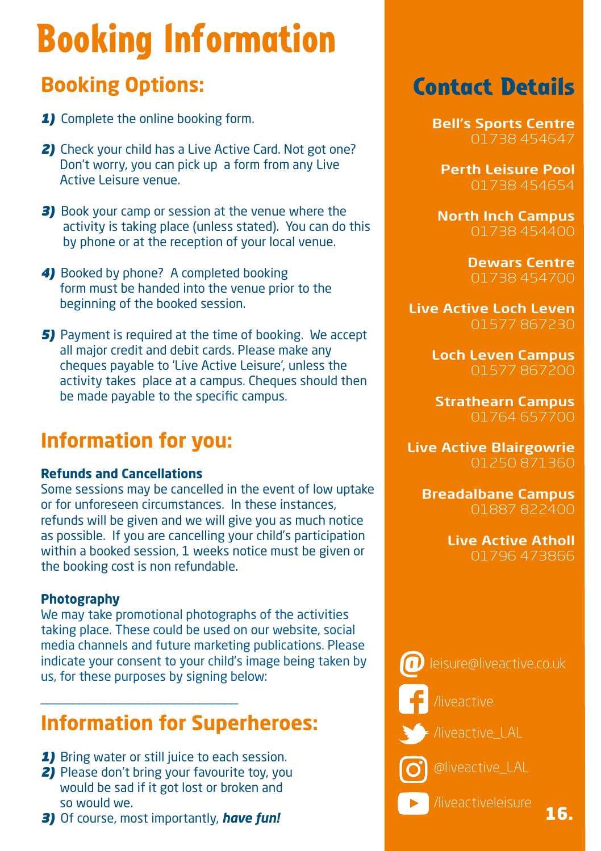# Booking Information

### **Booking Options:**

- *1)* Complete the online booking form.
- **2)** Check your child has a Live Active Card. Not got one? Don't worry, you can pick up a form from any Live Active Leisure venue.
- *3)* Book your camp or session at the venue where the activity is taking place (unless stated). You can do this by phone or at the reception of your local venue.
- 4) Booked by phone? A completed booking form must be handed into the venue prior to the beginning of the booked session.
- **5)** Payment is required at the time of booking. We accept all major credit and debit cards. Please make any cheques payable to 'Live Active Leisure', unless the activity takes place at a campus. Cheques should then be made payable to the specific campus.

### **Information for you:**

#### **Refunds and Cancellations**

Some sessions may be cancelled in the event of low uptake or for unforeseen circumstances. In these instances, refunds will be given and we will give you as much notice as possible. If you are cancelling your child's participation within a booked session, 1 weeks notice must be given or the booking cost is non refundable.

#### **Photography**

We may take promotional photographs of the activities taking place. These could be used on our website, social media channels and future marketing publications. Please indicate your consent to your child's image being taken by us, for these purposes by signing below:

### **Information for Superheroes:**

**1)** Bring water or still juice to each session.

\_\_\_\_\_\_\_\_\_\_\_\_\_\_\_\_\_\_\_\_\_\_\_\_\_\_\_\_\_\_\_

- **2)** Please don't bring your favourite toy, you would be sad if it got lost or broken and so would we.
- *3)* Of course, most importantly, *have fun!*

### Contact Details

Bell's Sports Centre 01738 454647

Perth Leisure Pool 01738 454654

North Inch Campus 01738 454400

> Dewars Centre 01738 454700

Live Active Loch Leven 01577 867230

> Loch Leven Campus 01577 867200

Strathearn Campus 01764 657700

Live Active Blairgowrie 01250 871360

Breadalbane Campus 01887 822400

> Live Active Atholl 01796 473866

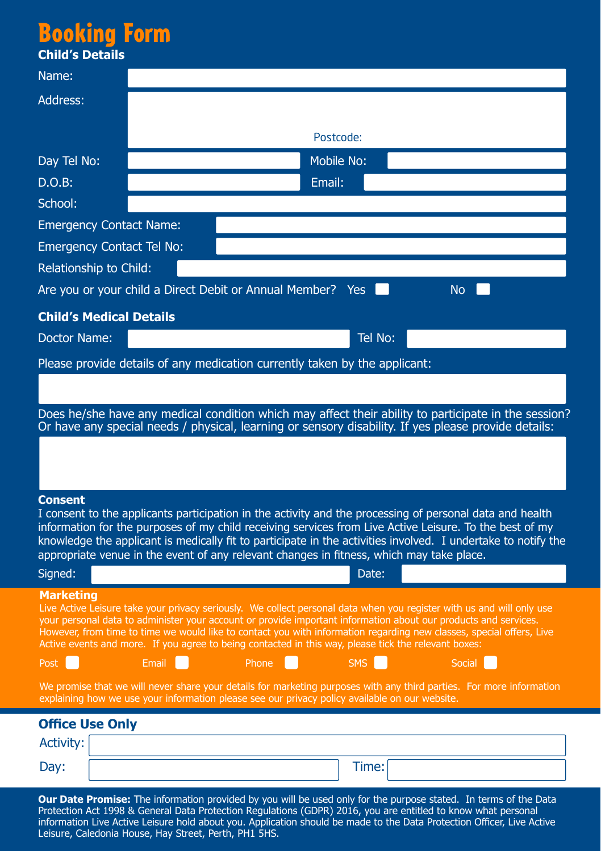## Booking For

| <b>DUUNIIIY FUHII</b>                      |                                                                                                                                                                                                                                         |        |                   |           |  |
|--------------------------------------------|-----------------------------------------------------------------------------------------------------------------------------------------------------------------------------------------------------------------------------------------|--------|-------------------|-----------|--|
| <b>Child's Details</b>                     |                                                                                                                                                                                                                                         |        |                   |           |  |
| Name:                                      |                                                                                                                                                                                                                                         |        |                   |           |  |
| Address:                                   |                                                                                                                                                                                                                                         |        |                   |           |  |
|                                            |                                                                                                                                                                                                                                         |        |                   |           |  |
|                                            |                                                                                                                                                                                                                                         |        | Postcode:         |           |  |
| Day Tel No:                                |                                                                                                                                                                                                                                         |        | <b>Mobile No:</b> |           |  |
| $D.O.B$ :                                  |                                                                                                                                                                                                                                         | Email: |                   |           |  |
| School:                                    |                                                                                                                                                                                                                                         |        |                   |           |  |
| <b>Emergency Contact Name:</b>             |                                                                                                                                                                                                                                         |        |                   |           |  |
| <b>Emergency Contact Tel No:</b>           |                                                                                                                                                                                                                                         |        |                   |           |  |
| Relationship to Child:                     |                                                                                                                                                                                                                                         |        |                   |           |  |
|                                            | Are you or your child a Direct Debit or Annual Member?                                                                                                                                                                                  |        | <b>Yes</b>        | <b>No</b> |  |
| <b>Child's Medical Details</b>             |                                                                                                                                                                                                                                         |        |                   |           |  |
| Doctor Name:                               |                                                                                                                                                                                                                                         |        | Tel No:           |           |  |
|                                            | Please provide details of any medication currently taken by the applicant:                                                                                                                                                              |        |                   |           |  |
|                                            |                                                                                                                                                                                                                                         |        |                   |           |  |
|                                            |                                                                                                                                                                                                                                         |        |                   |           |  |
|                                            | Does he/she have any medical condition which may affect their ability to participate in the session?<br>Or have any special needs / physical, learning or sensory disability. If yes please provide details:                            |        |                   |           |  |
|                                            |                                                                                                                                                                                                                                         |        |                   |           |  |
|                                            |                                                                                                                                                                                                                                         |        |                   |           |  |
|                                            |                                                                                                                                                                                                                                         |        |                   |           |  |
| <b>Consent</b>                             | I consent to the applicants participation in the activity and the processing of personal data and health                                                                                                                                |        |                   |           |  |
|                                            | information for the purposes of my child receiving services from Live Active Leisure. To the best of my                                                                                                                                 |        |                   |           |  |
|                                            | knowledge the applicant is medically fit to participate in the activities involved. I undertake to notify the<br>appropriate venue in the event of any relevant changes in fitness, which may take place.                               |        |                   |           |  |
| Signed:                                    |                                                                                                                                                                                                                                         |        | Date:             |           |  |
| Marketing                                  |                                                                                                                                                                                                                                         |        |                   |           |  |
|                                            | Live Active Leisure take your privacy seriously. We collect personal data when you register with us and will only use                                                                                                                   |        |                   |           |  |
|                                            | your personal data to administer your account or provide important information about our products and services.<br>However, from time to time we would like to contact you with information regarding new classes, special offers, Live |        |                   |           |  |
|                                            | Active events and more. If you agree to being contacted in this way, please tick the relevant boxes:                                                                                                                                    |        |                   |           |  |
| Post                                       | Email                                                                                                                                                                                                                                   | Phone  | <b>SMS</b>        | Social    |  |
|                                            | We promise that we will never share your details for marketing purposes with any third parties. For more information<br>explaining how we use your information please see our privacy policy available on our website.                  |        |                   |           |  |
|                                            |                                                                                                                                                                                                                                         |        |                   |           |  |
| <b>Office Use Only</b><br><b>Activity:</b> |                                                                                                                                                                                                                                         |        |                   |           |  |
|                                            |                                                                                                                                                                                                                                         |        |                   |           |  |

**Our Date Promise:** The information provided by you will be used only for the purpose stated. In terms of the Data Protection Act 1998 & General Data Protection Regulations (GDPR) 2016, you are entitled to know what personal information Live Active Leisure hold about you. Application should be made to the Data Protection Officer, Live Active Leisure, Caledonia House, Hay Street, Perth, PH1 5HS.

Day: Time: